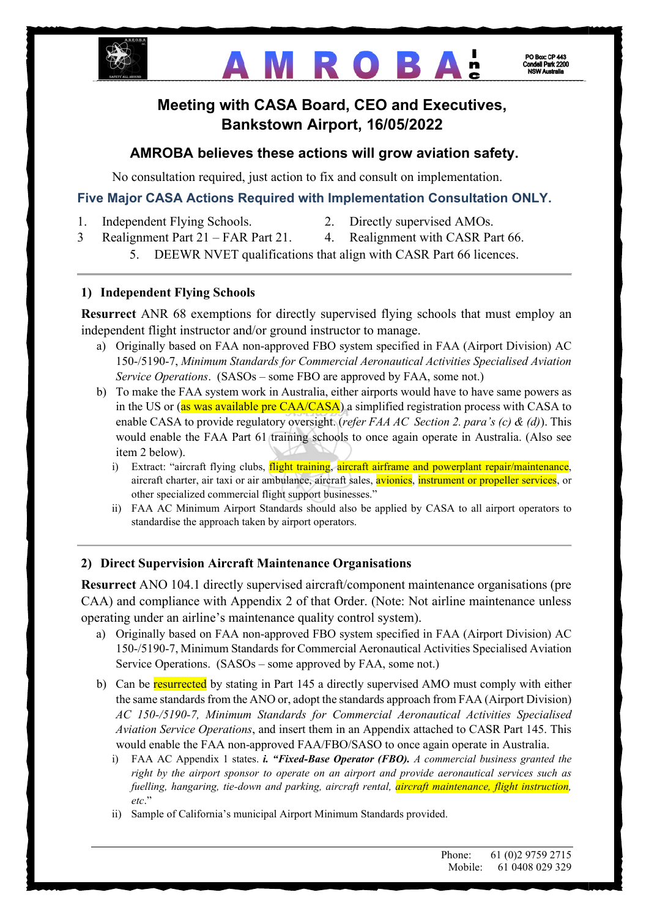

# **AMROBA:**

## **Meeting with CASA Board, CEO and Executives, Bankstown Airport, 16/05/2022**

## **AMROBA believes these actions will grow aviation safety.**

No consultation required, just action to fix and consult on implementation.

## **Five Major CASA Actions Required with Implementation Consultation ONLY.**

- 1. Independent Flying Schools. 2. Directly supervised AMOs.
- 
- 3 Realignment Part 21 FAR Part 21. 4. Realignment with CASR Part 66.
	- 5. DEEWR NVET qualifications that align with CASR Part 66 licences.

### **1) Independent Flying Schools**

**Resurrect** ANR 68 exemptions for directly supervised flying schools that must employ an independent flight instructor and/or ground instructor to manage.

- a) Originally based on FAA non-approved FBO system specified in FAA (Airport Division) AC 150-/5190-7, *Minimum Standards for Commercial Aeronautical Activities Specialised Aviation Service Operations*. (SASOs – some FBO are approved by FAA, some not.)
- b) To make the FAA system work in Australia, either airports would have to have same powers as in the US or (as was available pre CAA/CASA) a simplified registration process with CASA to enable CASA to provide regulatory oversight. (*refer FAA AC Section 2. para's (c) & (d)*). This would enable the FAA Part 61 training schools to once again operate in Australia. (Also see item 2 below).
	- i) Extract: "aircraft flying clubs, flight training, aircraft airframe and powerplant repair/maintenance, aircraft charter, air taxi or air ambulance, aircraft sales, avionics, instrument or propeller services, or other specialized commercial flight support businesses."
	- ii) FAA AC Minimum Airport Standards should also be applied by CASA to all airport operators to standardise the approach taken by airport operators.

#### **2) Direct Supervision Aircraft Maintenance Organisations**

**Resurrect** ANO 104.1 directly supervised aircraft/component maintenance organisations (pre CAA) and compliance with Appendix 2 of that Order. (Note: Not airline maintenance unless operating under an airline's maintenance quality control system).

- a) Originally based on FAA non-approved FBO system specified in FAA (Airport Division) AC 150-/5190-7, Minimum Standards for Commercial Aeronautical Activities Specialised Aviation Service Operations. (SASOs – some approved by FAA, some not.)
- b) Can be resurrected by stating in Part 145 a directly supervised AMO must comply with either the same standards from the ANO or, adopt the standards approach from FAA (Airport Division) *AC 150-/5190-7, Minimum Standards for Commercial Aeronautical Activities Specialised Aviation Service Operations*, and insert them in an Appendix attached to CASR Part 145. This would enable the FAA non-approved FAA/FBO/SASO to once again operate in Australia.
	- i) FAA AC Appendix 1 states. *i. "Fixed-Base Operator (FBO). A commercial business granted the right by the airport sponsor to operate on an airport and provide aeronautical services such as fuelling, hangaring, tie-down and parking, aircraft rental, aircraft maintenance, flight instruction, etc*."
	- ii) Sample of California's municipal Airport Minimum Standards provided.